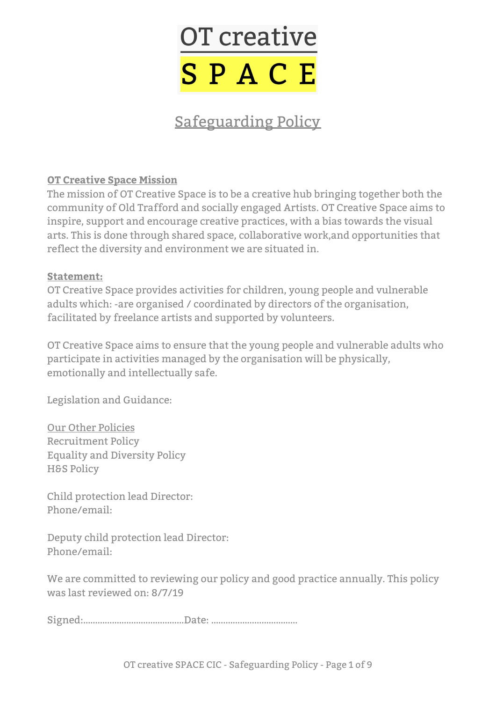

# Safeguarding Policy

#### **OT Creative Space Mission**

The mission of OT Creative Space is to be a creative hub bringing together both the community of Old Trafford and socially engaged Artists. OT Creative Space aims to inspire, support and encourage creative practices, with a bias towards the visual arts. This is done through shared space, collaborative work,and opportunities that reflect the diversity and environment we are situated in.

#### **Statement:**

OT Creative Space provides activities for children, young people and vulnerable adults which: -are organised / coordinated by directors of the organisation, facilitated by freelance artists and supported by volunteers.

OT Creative Space aims to ensure that the young people and vulnerable adults who participate in activities managed by the organisation will be physically, emotionally and intellectually safe.

Legislation and Guidance:

Our Other Policies Recruitment Policy Equality and Diversity Policy **H&S Policy** 

Child protection lead Director: Phone/email:

Deputy child protection lead Director: Phone/email:

We are committed to reviewing our policy and good practice annually. This policy was last reviewed on: 8/7/19

Signed:……………………………………Date: ………………………………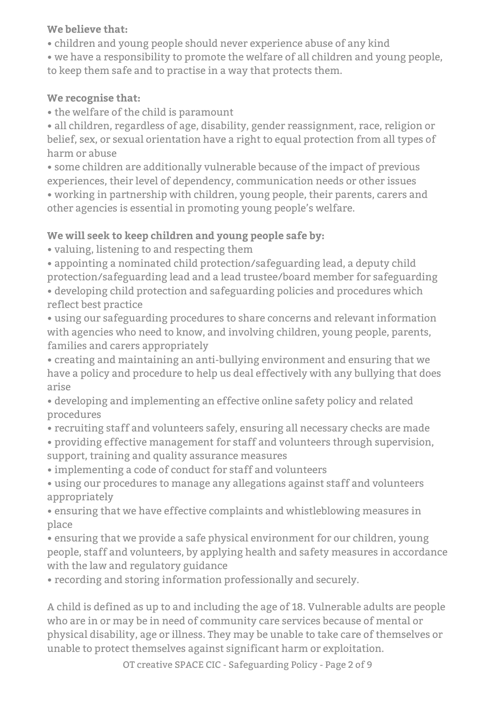## **We believe that:**

• children and young people should never experience abuse of any kind

• we have a responsibility to promote the welfare of all children and young people, to keep them safe and to practise in a way that protects them.

# **We recognise that:**

• the welfare of the child is paramount

• all children, regardless of age, disability, gender reassignment, race, religion or belief, sex, or sexual orientation have a right to equal protection from all types of harm or abuse

• some children are additionally vulnerable because of the impact of previous experiences, their level of dependency, communication needs or other issues • working in partnership with children, young people, their parents, carers and

other agencies is essential in promoting young people's welfare.

# **We will seek to keep children and young people safe by:**

• valuing, listening to and respecting them

• appointing a nominated child protection/safeguarding lead, a deputy child protection/safeguarding lead and a lead trustee/board member for safeguarding • developing child protection and safeguarding policies and procedures which reflect best practice

• using our safeguarding procedures to share concerns and relevant information with agencies who need to know, and involving children, young people, parents, families and carers appropriately

• creating and maintaining an anti-bullying environment and ensuring that we have a policy and procedure to help us deal effectively with any bullying that does arise

• developing and implementing an effective online safety policy and related procedures

• recruiting staff and volunteers safely, ensuring all necessary checks are made

• providing effective management for staff and volunteers through supervision, support, training and quality assurance measures

• implementing a code of conduct for staff and volunteers

• using our procedures to manage any allegations against staff and volunteers appropriately

• ensuring that we have effective complaints and whistleblowing measures in place

• ensuring that we provide a safe physical environment for our children, young people, staff and volunteers, by applying health and safety measures in accordance with the law and regulatory guidance

• recording and storing information professionally and securely.

A child is defined as up to and including the age of 18. Vulnerable adults are people who are in or may be in need of community care services because of mental or physical disability, age or illness. They may be unable to take care of themselves or unable to protect themselves against significant harm or exploitation.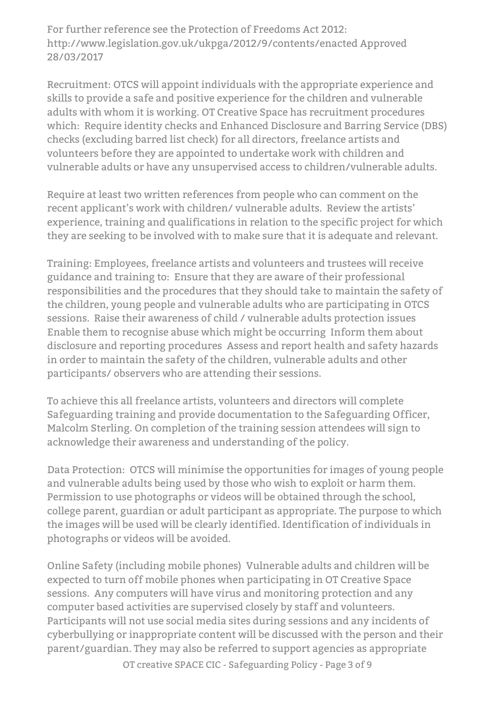For further reference see the Protection of Freedoms Act 2012: http://www.legislation.gov.uk/ukpga/2012/9/contents/enacted Approved 28/03/2017

Recruitment: OTCS will appoint individuals with the appropriate experience and skills to provide a safe and positive experience for the children and vulnerable adults with whom it is working. OT Creative Space has recruitment procedures which: Require identity checks and Enhanced Disclosure and Barring Service (DBS) checks (excluding barred list check) for all directors, freelance artists and volunteers before they are appointed to undertake work with children and vulnerable adults or have any unsupervised access to children/vulnerable adults.

Require at least two written references from people who can comment on the recent applicant's work with children/ vulnerable adults. Review the artists' experience, training and qualifications in relation to the specific project for which they are seeking to be involved with to make sure that it is adequate and relevant.

Training: Employees, freelance artists and volunteers and trustees will receive guidance and training to: Ensure that they are aware of their professional responsibilities and the procedures that they should take to maintain the safety of the children, young people and vulnerable adults who are participating in OTCS sessions. Raise their awareness of child / vulnerable adults protection issues Enable them to recognise abuse which might be occurring Inform them about disclosure and reporting procedures Assess and report health and safety hazards in order to maintain the safety of the children, vulnerable adults and other participants/ observers who are attending their sessions.

To achieve this all freelance artists, volunteers and directors will complete Safeguarding training and provide documentation to the Safeguarding Officer, Malcolm Sterling. On completion of the training session attendees will sign to acknowledge their awareness and understanding of the policy.

Data Protection: OTCS will minimise the opportunities for images of young people and vulnerable adults being used by those who wish to exploit or harm them. Permission to use photographs or videos will be obtained through the school, college parent, guardian or adult participant as appropriate. The purpose to which the images will be used will be clearly identified. Identification of individuals in photographs or videos will be avoided.

Online Safety (including mobile phones) Vulnerable adults and children will be expected to turn off mobile phones when participating in OT Creative Space sessions. Any computers will have virus and monitoring protection and any computer based activities are supervised closely by staff and volunteers. Participants will not use social media sites during sessions and any incidents of cyberbullying or inappropriate content will be discussed with the person and their parent/guardian. They may also be referred to support agencies as appropriate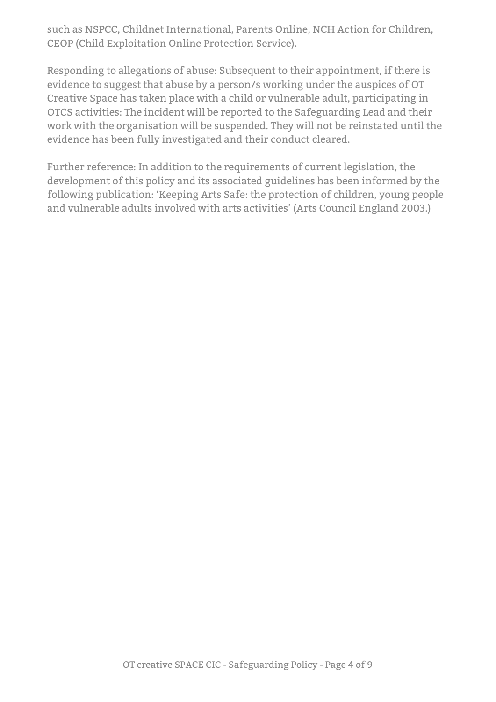such as NSPCC, Childnet International, Parents Online, NCH Action for Children, CEOP (Child Exploitation Online Protection Service).

Responding to allegations of abuse: Subsequent to their appointment, if there is evidence to suggest that abuse by a person/s working under the auspices of OT Creative Space has taken place with a child or vulnerable adult, participating in OTCS activities: The incident will be reported to the Safeguarding Lead and their work with the organisation will be suspended. They will not be reinstated until the evidence has been fully investigated and their conduct cleared.

Further reference: In addition to the requirements of current legislation, the development of this policy and its associated guidelines has been informed by the following publication: 'Keeping Arts Safe: the protection of children, young people and vulnerable adults involved with arts activities' (Arts Council England 2003.)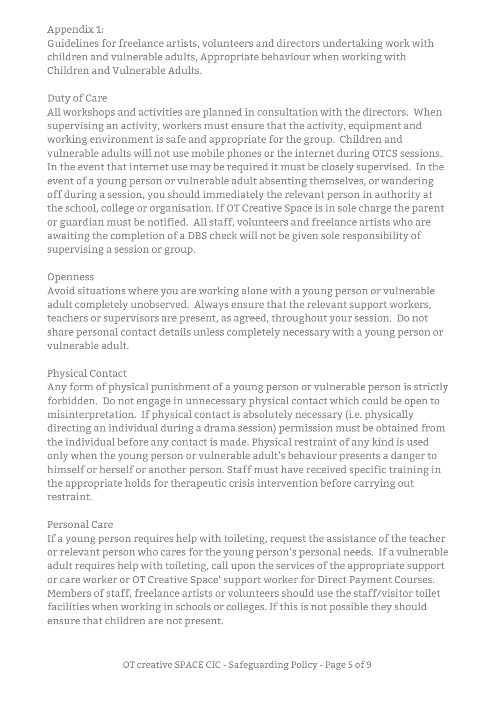#### Appendix 1:

Guidelines for freelance artists, volunteers and directors undertaking work with children and vulnerable adults, Appropriate behaviour when working with Children and Vulnerable Adults.

## Duty of Care

All workshops and activities are planned in consultation with the directors. When supervising an activity, workers must ensure that the activity, equipment and working environment is safe and appropriate for the group. Children and vulnerable adults will not use mobile phones or the internet during OTCS sessions. In the event that internet use may be required it must be closely supervised. In the event of a young person or vulnerable adult absenting themselves, or wandering off during a session, you should immediately the relevant person in authority at the school, college or organisation. If OT Creative Space is in sole charge the parent or guardian must be notified. All staff, volunteers and freelance artists who are awaiting the completion of a DBS check will not be given sole responsibility of supervising a session or group.

#### Openness

Avoid situations where you are working alone with a young person or vulnerable adult completely unobserved. Always ensure that the relevant support workers, teachers or supervisors are present, as agreed, throughout your session. Do not share personal contact details unless completely necessary with a young person or vulnerable adult.

#### Physical Contact

Any form of physical punishment of a young person or vulnerable person is strictly forbidden. Do not engage in unnecessary physical contact which could be open to misinterpretation. If physical contact is absolutely necessary (i.e. physically directing an individual during a drama session) permission must be obtained from the individual before any contact is made. Physical restraint of any kind is used only when the young person or vulnerable adult's behaviour presents a danger to himself or herself or another person. Staff must have received specific training in the appropriate holds for therapeutic crisis intervention before carrying out restraint.

#### Personal Care

If a young person requires help with toileting, request the assistance of the teacher or relevant person who cares for the young person's personal needs. If a vulnerable adult requires help with toileting, call upon the services of the appropriate support or care worker or OT Creative Space' support worker for Direct Payment Courses. Members of staff, freelance artists or volunteers should use the staff/visitor toilet facilities when working in schools or colleges. If this is not possible they should ensure that children are not present.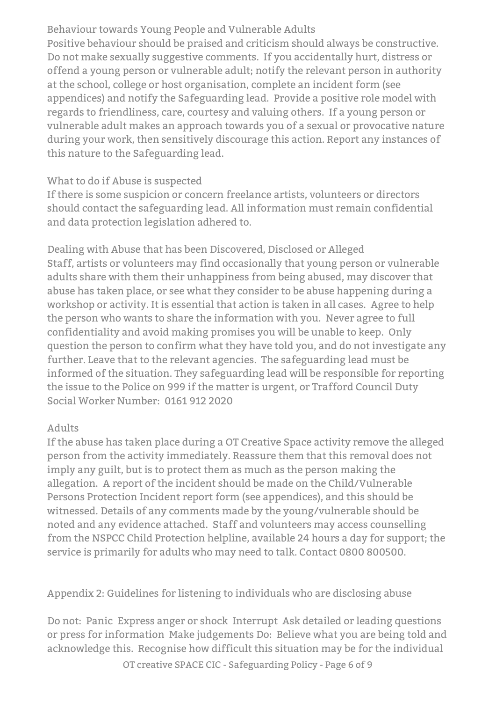Behaviour towards Young People and Vulnerable Adults Positive behaviour should be praised and criticism should always be constructive. Do not make sexually suggestive comments. If you accidentally hurt, distress or offend a young person or vulnerable adult; notify the relevant person in authority at the school, college or host organisation, complete an incident form (see appendices) and notify the Safeguarding lead. Provide a positive role model with regards to friendliness, care, courtesy and valuing others. If a young person or vulnerable adult makes an approach towards you of a sexual or provocative nature during your work, then sensitively discourage this action. Report any instances of this nature to the Safeguarding lead.

#### What to do if Abuse is suspected

If there is some suspicion or concern freelance artists, volunteers or directors should contact the safeguarding lead. All information must remain confidential and data protection legislation adhered to.

Dealing with Abuse that has been Discovered, Disclosed or Alleged Staff, artists or volunteers may find occasionally that young person or vulnerable adults share with them their unhappiness from being abused, may discover that abuse has taken place, or see what they consider to be abuse happening during a workshop or activity. It is essential that action is taken in all cases. Agree to help the person who wants to share the information with you. Never agree to full confidentiality and avoid making promises you will be unable to keep. Only question the person to confirm what they have told you, and do not investigate any further. Leave that to the relevant agencies. The safeguarding lead must be informed of the situation. They safeguarding lead will be responsible for reporting the issue to the Police on 999 if the matter is urgent, or Trafford Council Duty Social Worker Number: 0161 912 2020

#### Adults

If the abuse has taken place during a OT Creative Space activity remove the alleged person from the activity immediately. Reassure them that this removal does not imply any guilt, but is to protect them as much as the person making the allegation. A report of the incident should be made on the Child/Vulnerable Persons Protection Incident report form (see appendices), and this should be witnessed. Details of any comments made by the young/vulnerable should be noted and any evidence attached. Staff and volunteers may access counselling from the NSPCC Child Protection helpline, available 24 hours a day for support; the service is primarily for adults who may need to talk. Contact 0800 800500.

#### Appendix 2: Guidelines for listening to individuals who are disclosing abuse

Do not: Panic Express anger or shock Interrupt Ask detailed or leading questions or press for information Make judgements Do: Believe what you are being told and acknowledge this. Recognise how difficult this situation may be for the individual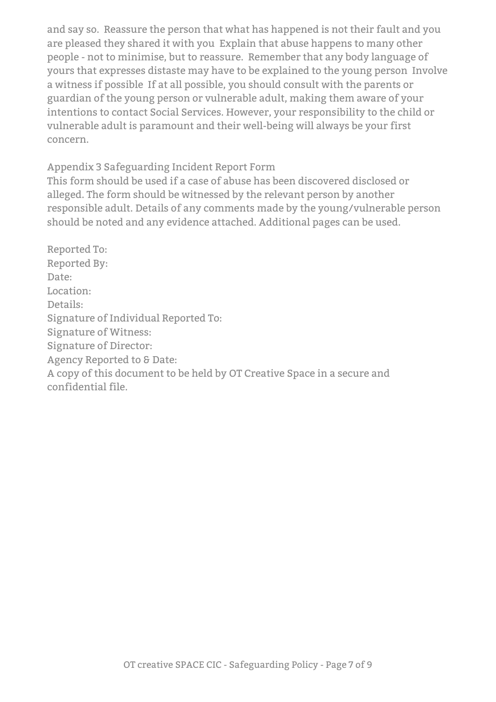and say so. Reassure the person that what has happened is not their fault and you are pleased they shared it with you Explain that abuse happens to many other people - not to minimise, but to reassure. Remember that any body language of yours that expresses distaste may have to be explained to the young person Involve a witness if possible If at all possible, you should consult with the parents or guardian of the young person or vulnerable adult, making them aware of your intentions to contact Social Services. However, your responsibility to the child or vulnerable adult is paramount and their well-being will always be your first concern.

Appendix 3 Safeguarding Incident Report Form

This form should be used if a case of abuse has been discovered disclosed or alleged. The form should be witnessed by the relevant person by another responsible adult. Details of any comments made by the young/vulnerable person should be noted and any evidence attached. Additional pages can be used.

Reported To: Reported By: Date: Location: Details: Signature of Individual Reported To: Signature of Witness: Signature of Director: Agency Reported to & Date: A copy of this document to be held by OT Creative Space in a secure and confidential file.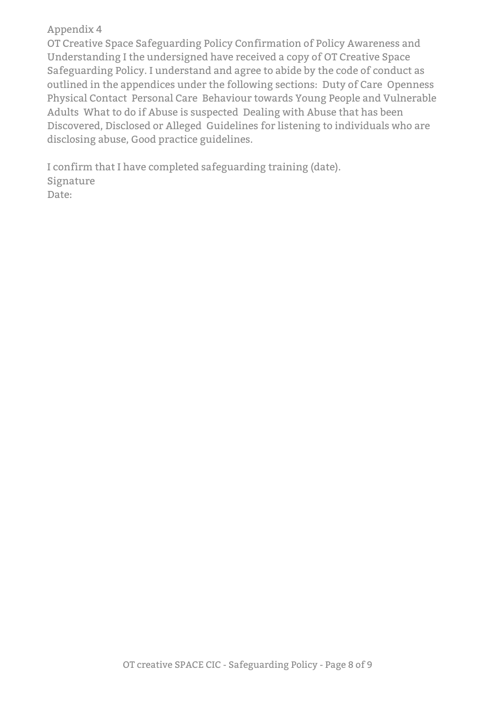#### Appendix 4

OT Creative Space Safeguarding Policy Confirmation of Policy Awareness and Understanding I the undersigned have received a copy of OT Creative Space Safeguarding Policy. I understand and agree to abide by the code of conduct as outlined in the appendices under the following sections: Duty of Care Openness Physical Contact Personal Care Behaviour towards Young People and Vulnerable Adults What to do if Abuse is suspected Dealing with Abuse that has been Discovered, Disclosed or Alleged Guidelines for listening to individuals who are disclosing abuse, Good practice guidelines.

I confirm that I have completed safeguarding training (date). Signature Date: